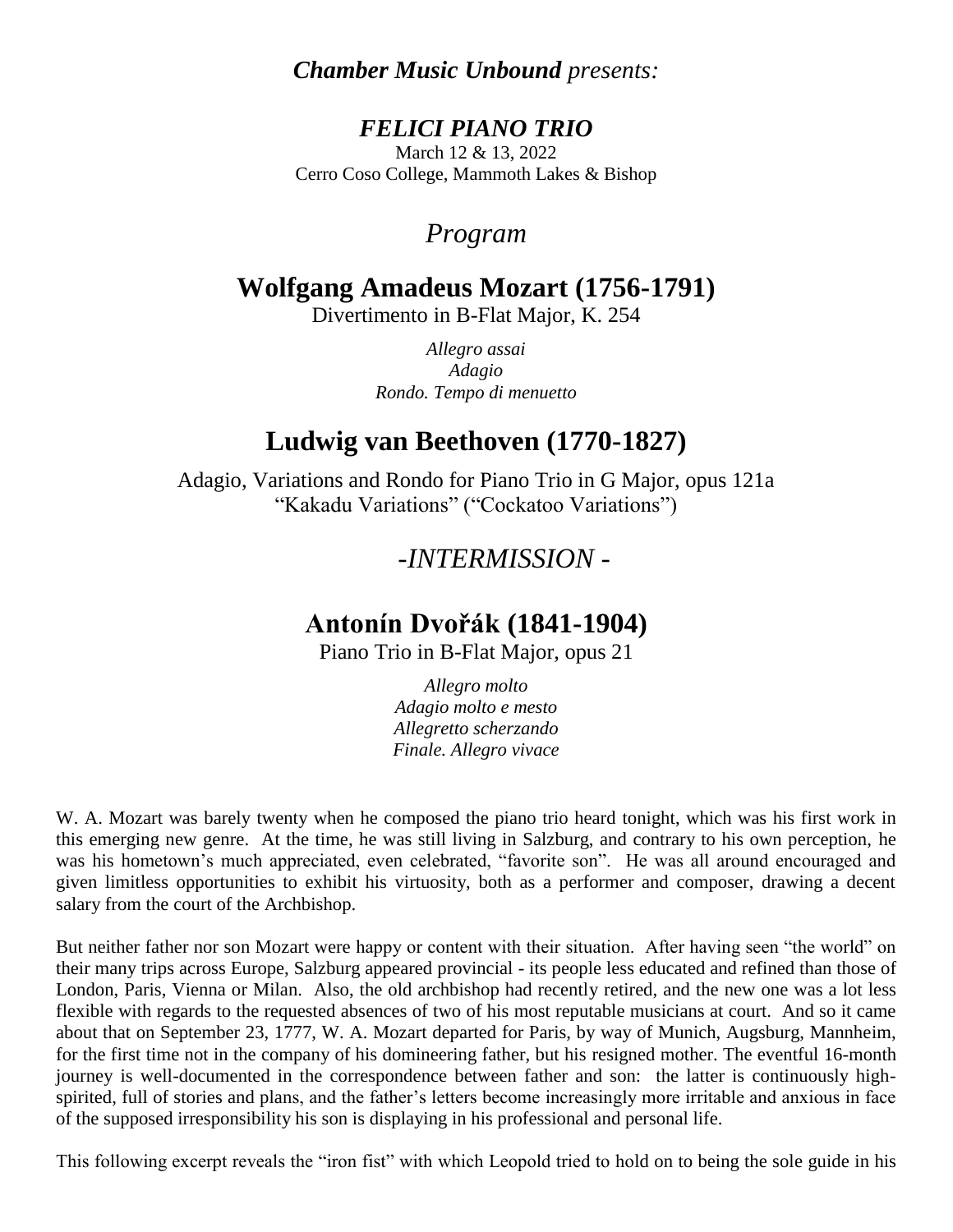## *Chamber Music Unbound presents:*

### *FELICI PIANO TRIO* March 12 & 13, 2022 Cerro Coso College, Mammoth Lakes & Bishop

## *Program*

# **Wolfgang Amadeus Mozart (1756-1791)**

Divertimento in B-Flat Major, K. 254

*Allegro assai Adagio Rondo. Tempo di menuetto*

# **Ludwig van Beethoven (1770-1827)**

Adagio, Variations and Rondo for Piano Trio in G Major, opus 121a "Kakadu Variations" ("Cockatoo Variations")

## *-INTERMISSION -*

## **Antonín Dvořák (1841-1904)**

Piano Trio in B-Flat Major, opus 21

*Allegro molto Adagio molto e mesto Allegretto scherzando Finale. Allegro vivace*

W. A. Mozart was barely twenty when he composed the piano trio heard tonight, which was his first work in this emerging new genre. At the time, he was still living in Salzburg, and contrary to his own perception, he was his hometown's much appreciated, even celebrated, "favorite son". He was all around encouraged and given limitless opportunities to exhibit his virtuosity, both as a performer and composer, drawing a decent salary from the court of the Archbishop.

But neither father nor son Mozart were happy or content with their situation. After having seen "the world" on their many trips across Europe, Salzburg appeared provincial - its people less educated and refined than those of London, Paris, Vienna or Milan. Also, the old archbishop had recently retired, and the new one was a lot less flexible with regards to the requested absences of two of his most reputable musicians at court. And so it came about that on September 23, 1777, W. A. Mozart departed for Paris, by way of Munich, Augsburg, Mannheim, for the first time not in the company of his domineering father, but his resigned mother. The eventful 16-month journey is well-documented in the correspondence between father and son: the latter is continuously highspirited, full of stories and plans, and the father's letters become increasingly more irritable and anxious in face of the supposed irresponsibility his son is displaying in his professional and personal life.

This following excerpt reveals the "iron fist" with which Leopold tried to hold on to being the sole guide in his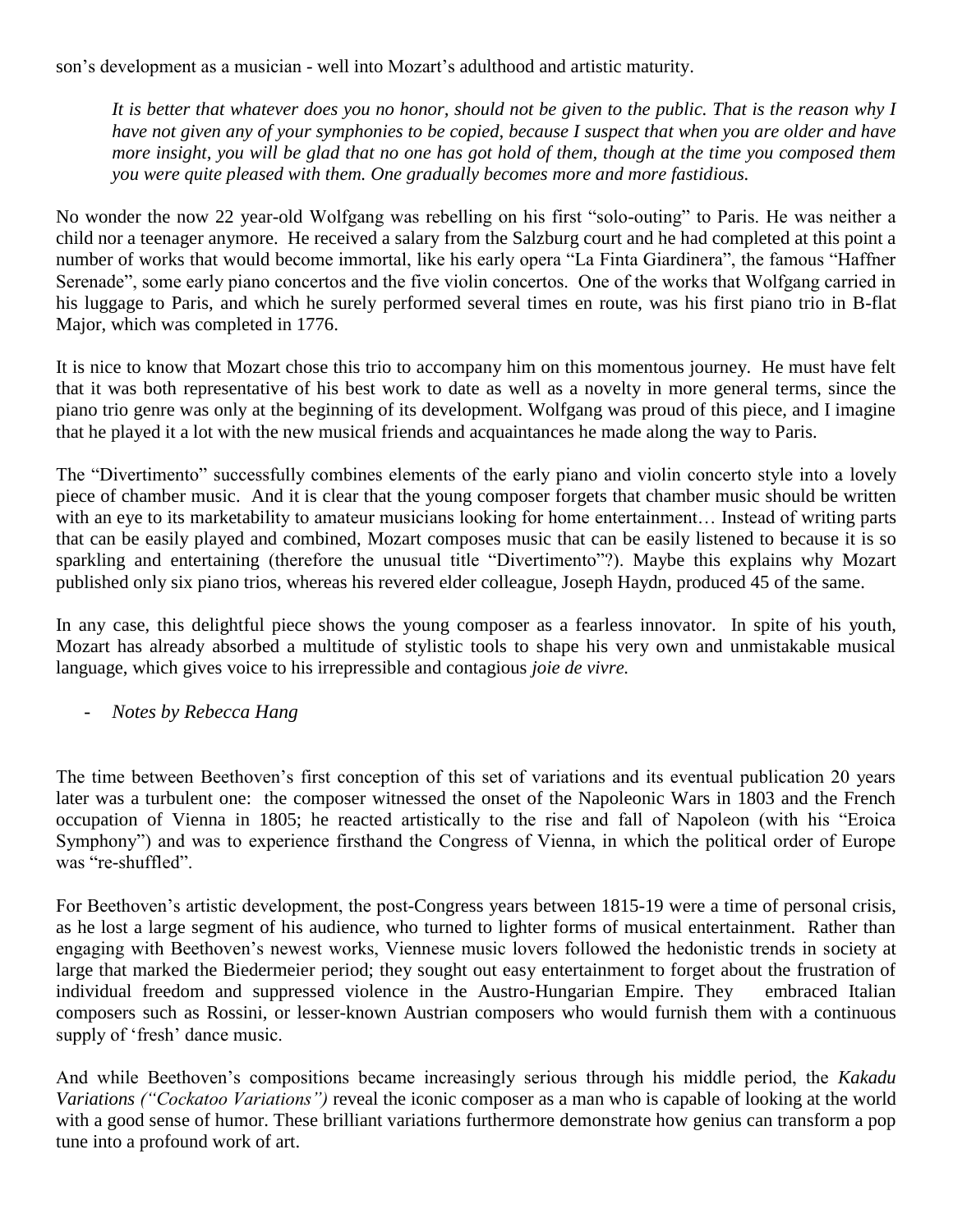son's development as a musician - well into Mozart's adulthood and artistic maturity.

*It is better that whatever does you no honor, should not be given to the public. That is the reason why I have not given any of your symphonies to be copied, because I suspect that when you are older and have more insight, you will be glad that no one has got hold of them, though at the time you composed them you were quite pleased with them. One gradually becomes more and more fastidious.*

No wonder the now 22 year-old Wolfgang was rebelling on his first "solo-outing" to Paris. He was neither a child nor a teenager anymore. He received a salary from the Salzburg court and he had completed at this point a number of works that would become immortal, like his early opera "La Finta Giardinera", the famous "Haffner Serenade", some early piano concertos and the five violin concertos. One of the works that Wolfgang carried in his luggage to Paris, and which he surely performed several times en route, was his first piano trio in B-flat Major, which was completed in 1776.

It is nice to know that Mozart chose this trio to accompany him on this momentous journey. He must have felt that it was both representative of his best work to date as well as a novelty in more general terms, since the piano trio genre was only at the beginning of its development. Wolfgang was proud of this piece, and I imagine that he played it a lot with the new musical friends and acquaintances he made along the way to Paris.

The "Divertimento" successfully combines elements of the early piano and violin concerto style into a lovely piece of chamber music. And it is clear that the young composer forgets that chamber music should be written with an eye to its marketability to amateur musicians looking for home entertainment... Instead of writing parts that can be easily played and combined, Mozart composes music that can be easily listened to because it is so sparkling and entertaining (therefore the unusual title "Divertimento"?). Maybe this explains why Mozart published only six piano trios, whereas his revered elder colleague, Joseph Haydn, produced 45 of the same.

In any case, this delightful piece shows the young composer as a fearless innovator. In spite of his youth, Mozart has already absorbed a multitude of stylistic tools to shape his very own and unmistakable musical language, which gives voice to his irrepressible and contagious *joie de vivre.* 

- *Notes by Rebecca Hang*

The time between Beethoven's first conception of this set of variations and its eventual publication 20 years later was a turbulent one: the composer witnessed the onset of the Napoleonic Wars in 1803 and the French occupation of Vienna in 1805; he reacted artistically to the rise and fall of Napoleon (with his "Eroica Symphony") and was to experience firsthand the Congress of Vienna, in which the political order of Europe was "re-shuffled".

For Beethoven's artistic development, the post-Congress years between 1815-19 were a time of personal crisis, as he lost a large segment of his audience, who turned to lighter forms of musical entertainment. Rather than engaging with Beethoven's newest works, Viennese music lovers followed the hedonistic trends in society at large that marked the Biedermeier period; they sought out easy entertainment to forget about the frustration of individual freedom and suppressed violence in the Austro-Hungarian Empire. They embraced Italian composers such as Rossini, or lesser-known Austrian composers who would furnish them with a continuous supply of 'fresh' dance music.

And while Beethoven's compositions became increasingly serious through his middle period, the *Kakadu Variations ("Cockatoo Variations")* reveal the iconic composer as a man who is capable of looking at the world with a good sense of humor. These brilliant variations furthermore demonstrate how genius can transform a pop tune into a profound work of art.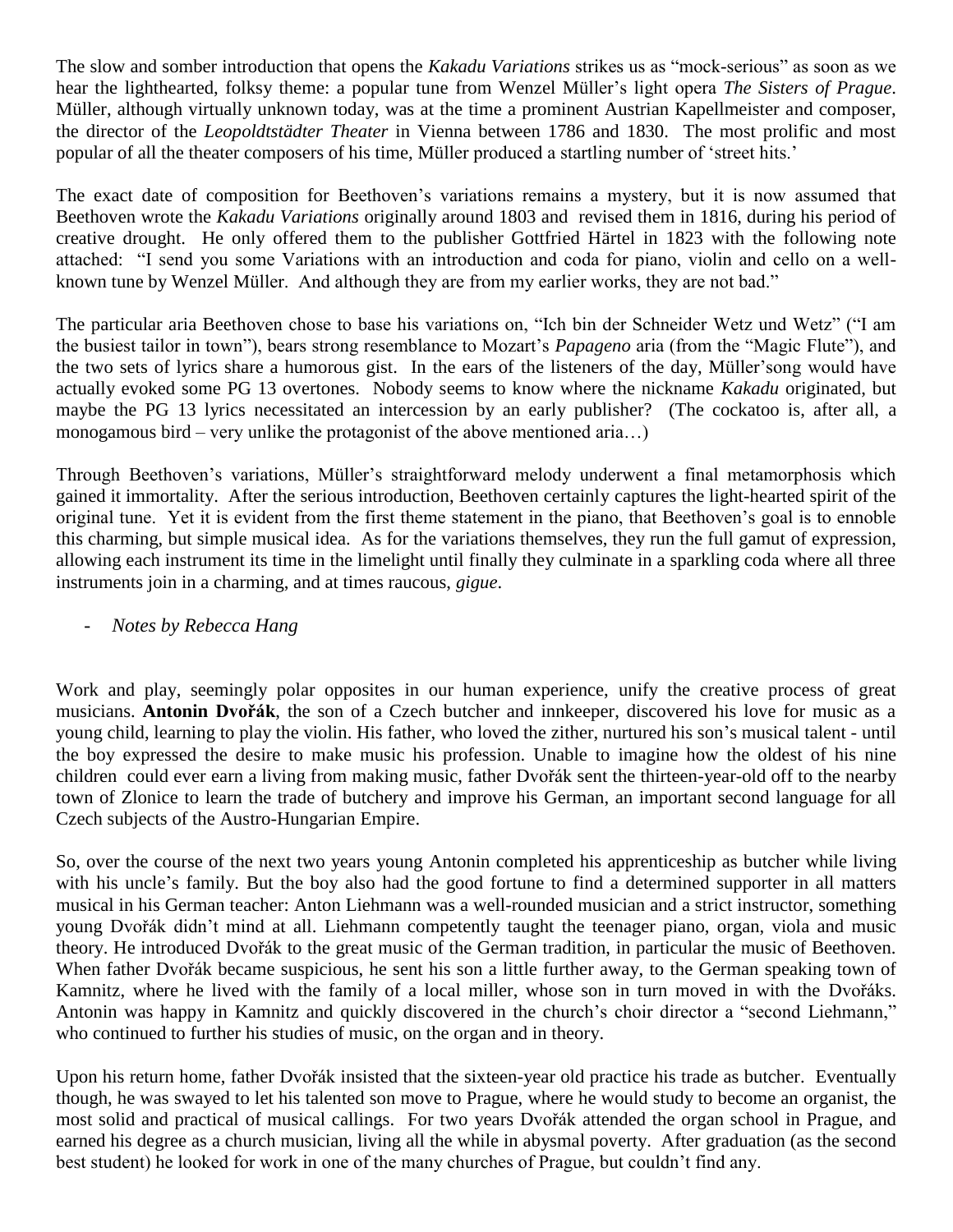The slow and somber introduction that opens the *Kakadu Variations* strikes us as "mock-serious" as soon as we hear the lighthearted, folksy theme: a popular tune from Wenzel Müller's light opera *The Sisters of Prague*. Müller, although virtually unknown today, was at the time a prominent Austrian Kapellmeister and composer, the director of the *Leopoldtstädter Theater* in Vienna between 1786 and 1830. The most prolific and most popular of all the theater composers of his time, Müller produced a startling number of 'street hits.'

The exact date of composition for Beethoven's variations remains a mystery, but it is now assumed that Beethoven wrote the *Kakadu Variations* originally around 1803 and revised them in 1816, during his period of creative drought. He only offered them to the publisher Gottfried Härtel in 1823 with the following note attached: "I send you some Variations with an introduction and coda for piano, violin and cello on a wellknown tune by Wenzel Müller. And although they are from my earlier works, they are not bad."

The particular aria Beethoven chose to base his variations on, "Ich bin der Schneider Wetz und Wetz" ("I am the busiest tailor in town"), bears strong resemblance to Mozart's *Papageno* aria (from the "Magic Flute"), and the two sets of lyrics share a humorous gist. In the ears of the listeners of the day, Müller'song would have actually evoked some PG 13 overtones. Nobody seems to know where the nickname *Kakadu* originated, but maybe the PG 13 lyrics necessitated an intercession by an early publisher? (The cockatoo is, after all, a monogamous bird – very unlike the protagonist of the above mentioned aria...)

Through Beethoven's variations, Müller's straightforward melody underwent a final metamorphosis which gained it immortality. After the serious introduction, Beethoven certainly captures the light-hearted spirit of the original tune. Yet it is evident from the first theme statement in the piano, that Beethoven's goal is to ennoble this charming, but simple musical idea. As for the variations themselves, they run the full gamut of expression, allowing each instrument its time in the limelight until finally they culminate in a sparkling coda where all three instruments join in a charming, and at times raucous, *gigue*.

### - *Notes by Rebecca Hang*

Work and play, seemingly polar opposites in our human experience, unify the creative process of great musicians. **Antonin Dvořák**, the son of a Czech butcher and innkeeper, discovered his love for music as a young child, learning to play the violin. His father, who loved the zither, nurtured his son's musical talent - until the boy expressed the desire to make music his profession. Unable to imagine how the oldest of his nine children could ever earn a living from making music, father Dvořák sent the thirteen-year-old off to the nearby town of Zlonice to learn the trade of butchery and improve his German, an important second language for all Czech subjects of the Austro-Hungarian Empire.

So, over the course of the next two years young Antonin completed his apprenticeship as butcher while living with his uncle's family. But the boy also had the good fortune to find a determined supporter in all matters musical in his German teacher: Anton Liehmann was a well-rounded musician and a strict instructor, something young Dvořák didn't mind at all. Liehmann competently taught the teenager piano, organ, viola and music theory. He introduced Dvořák to the great music of the German tradition, in particular the music of Beethoven. When father Dvořák became suspicious, he sent his son a little further away, to the German speaking town of Kamnitz, where he lived with the family of a local miller, whose son in turn moved in with the Dvořáks. Antonin was happy in Kamnitz and quickly discovered in the church's choir director a "second Liehmann," who continued to further his studies of music, on the organ and in theory.

Upon his return home, father Dvořák insisted that the sixteen-year old practice his trade as butcher. Eventually though, he was swayed to let his talented son move to Prague, where he would study to become an organist, the most solid and practical of musical callings. For two years Dvořák attended the organ school in Prague, and earned his degree as a church musician, living all the while in abysmal poverty. After graduation (as the second best student) he looked for work in one of the many churches of Prague, but couldn't find any.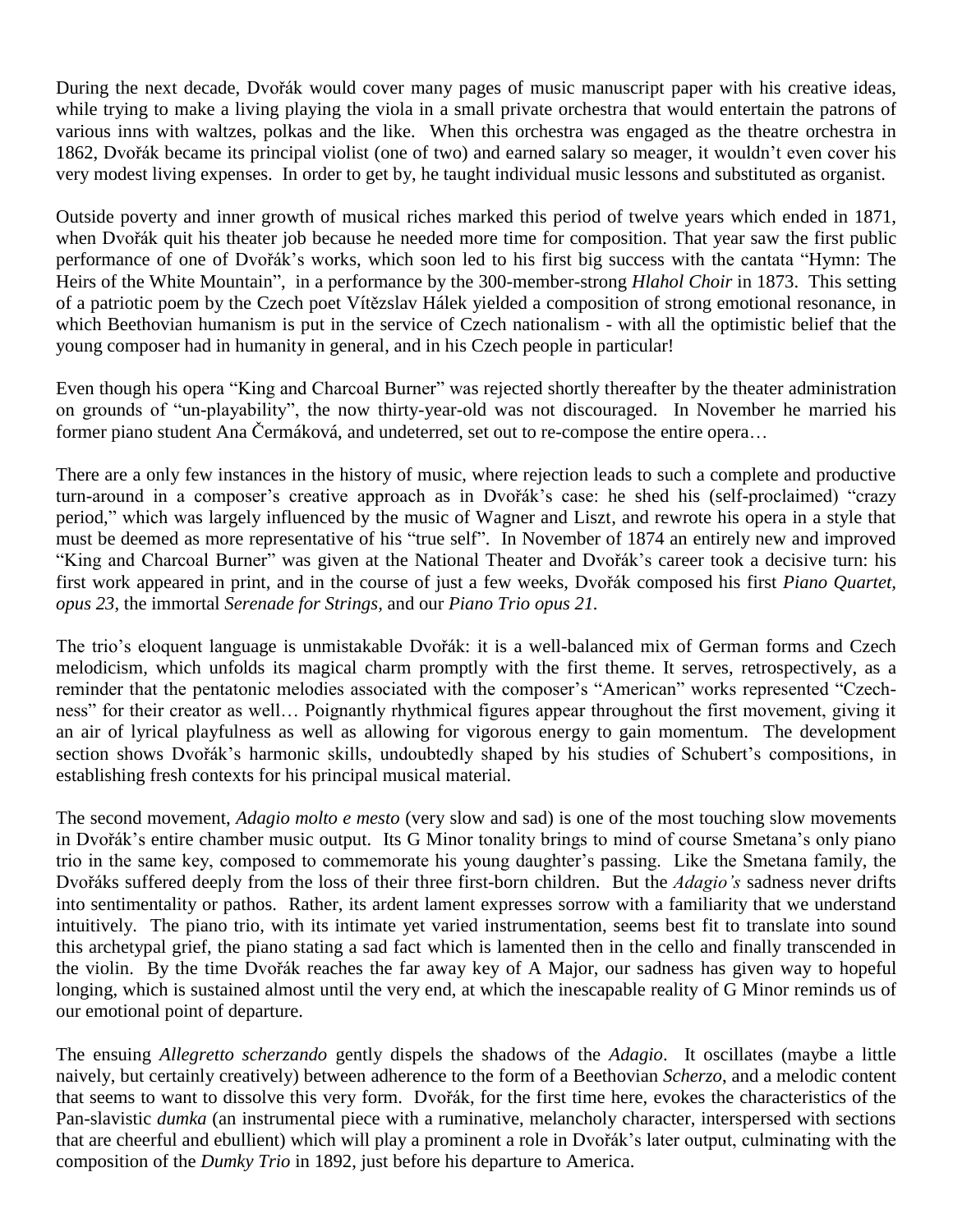During the next decade, Dvořák would cover many pages of music manuscript paper with his creative ideas, while trying to make a living playing the viola in a small private orchestra that would entertain the patrons of various inns with waltzes, polkas and the like. When this orchestra was engaged as the theatre orchestra in 1862, Dvořák became its principal violist (one of two) and earned salary so meager, it wouldn't even cover his very modest living expenses. In order to get by, he taught individual music lessons and substituted as organist.

Outside poverty and inner growth of musical riches marked this period of twelve years which ended in 1871, when Dvořák quit his theater job because he needed more time for composition. That year saw the first public performance of one of Dvořák's works, which soon led to his first big success with the cantata "Hymn: The Heirs of the White Mountain", in a performance by the 300-member-strong *Hlahol Choir* in 1873. This setting of a patriotic poem by the Czech poet Vítězslav Hálek yielded a composition of strong emotional resonance, in which Beethovian humanism is put in the service of Czech nationalism - with all the optimistic belief that the young composer had in humanity in general, and in his Czech people in particular!

Even though his opera "King and Charcoal Burner" was rejected shortly thereafter by the theater administration on grounds of "un-playability", the now thirty-year-old was not discouraged. In November he married his former piano student Ana Čermáková, and undeterred, set out to re-compose the entire opera…

There are a only few instances in the history of music, where rejection leads to such a complete and productive turn-around in a composer's creative approach as in Dvořák's case: he shed his (self-proclaimed) "crazy period," which was largely influenced by the music of Wagner and Liszt, and rewrote his opera in a style that must be deemed as more representative of his "true self". In November of 1874 an entirely new and improved "King and Charcoal Burner" was given at the National Theater and Dvořák's career took a decisive turn: his first work appeared in print, and in the course of just a few weeks, Dvořák composed his first *Piano Quartet, opus 23*, the immortal *Serenade for Strings,* and our *Piano Trio opus 21.*

The trio's eloquent language is unmistakable Dvořák: it is a well-balanced mix of German forms and Czech melodicism, which unfolds its magical charm promptly with the first theme. It serves, retrospectively, as a reminder that the pentatonic melodies associated with the composer's "American" works represented "Czechness" for their creator as well… Poignantly rhythmical figures appear throughout the first movement, giving it an air of lyrical playfulness as well as allowing for vigorous energy to gain momentum. The development section shows Dvořák's harmonic skills, undoubtedly shaped by his studies of Schubert's compositions, in establishing fresh contexts for his principal musical material.

The second movement, *Adagio molto e mesto* (very slow and sad) is one of the most touching slow movements in Dvořák's entire chamber music output. Its G Minor tonality brings to mind of course Smetana's only piano trio in the same key, composed to commemorate his young daughter's passing. Like the Smetana family, the Dvořáks suffered deeply from the loss of their three first-born children. But the *Adagio's* sadness never drifts into sentimentality or pathos. Rather, its ardent lament expresses sorrow with a familiarity that we understand intuitively. The piano trio, with its intimate yet varied instrumentation, seems best fit to translate into sound this archetypal grief, the piano stating a sad fact which is lamented then in the cello and finally transcended in the violin. By the time Dvořák reaches the far away key of A Major, our sadness has given way to hopeful longing, which is sustained almost until the very end, at which the inescapable reality of G Minor reminds us of our emotional point of departure.

The ensuing *Allegretto scherzando* gently dispels the shadows of the *Adagio*. It oscillates (maybe a little naively, but certainly creatively) between adherence to the form of a Beethovian *Scherzo*, and a melodic content that seems to want to dissolve this very form. Dvořák, for the first time here, evokes the characteristics of the Pan-slavistic *dumka* (an instrumental piece with a ruminative, melancholy character, interspersed with sections that are cheerful and ebullient) which will play a prominent a role in Dvořák's later output, culminating with the composition of the *Dumky Trio* in 1892, just before his departure to America.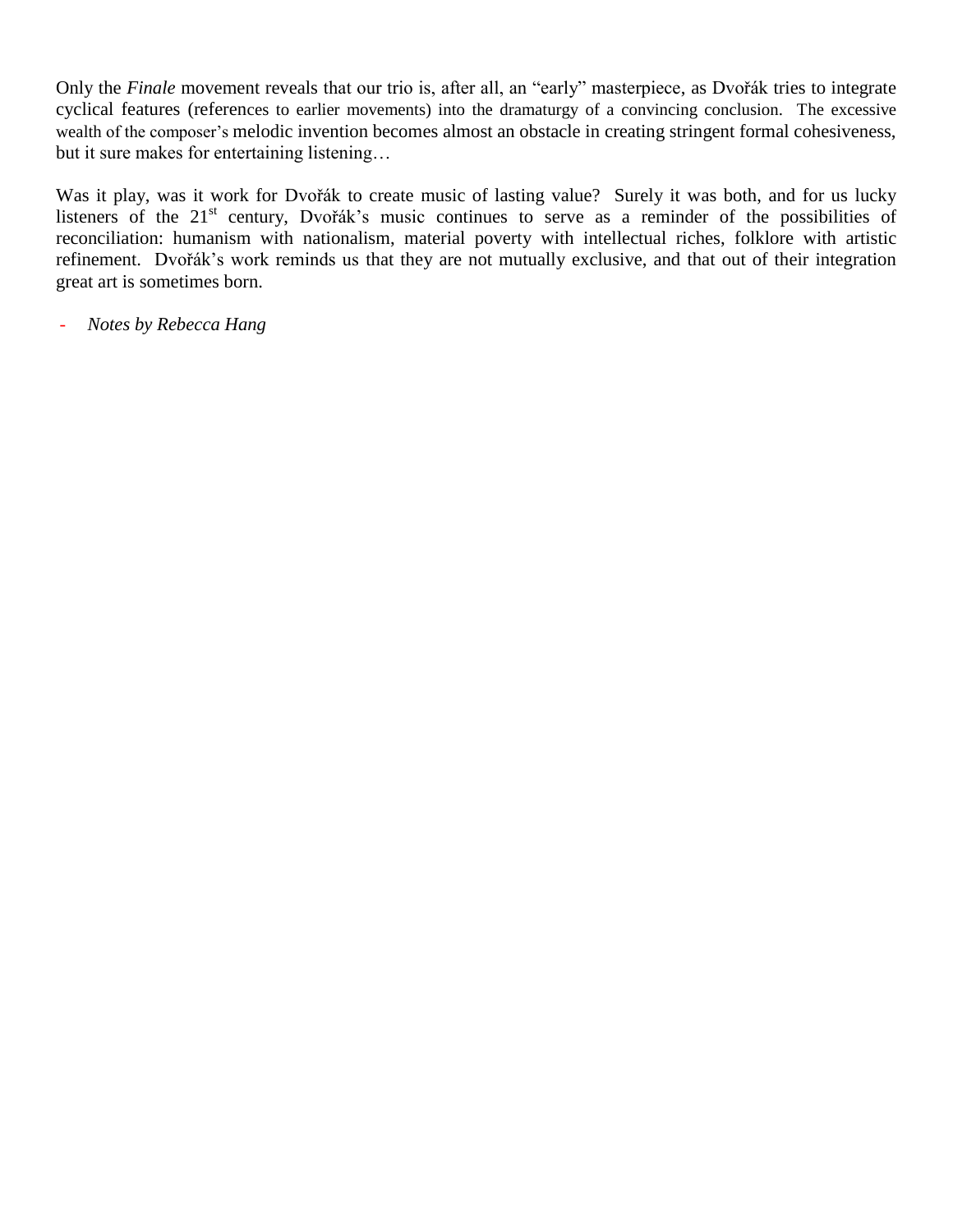Only the *Finale* movement reveals that our trio is, after all, an "early" masterpiece, as Dvořák tries to integrate cyclical features (references to earlier movements) into the dramaturgy of a convincing conclusion. The excessive wealth of the composer's melodic invention becomes almost an obstacle in creating stringent formal cohesiveness, but it sure makes for entertaining listening…

Was it play, was it work for Dvořák to create music of lasting value? Surely it was both, and for us lucky listeners of the 21<sup>st</sup> century, Dvořák's music continues to serve as a reminder of the possibilities of reconciliation: humanism with nationalism, material poverty with intellectual riches, folklore with artistic refinement. Dvořák's work reminds us that they are not mutually exclusive, and that out of their integration great art is sometimes born.

- *Notes by Rebecca Hang*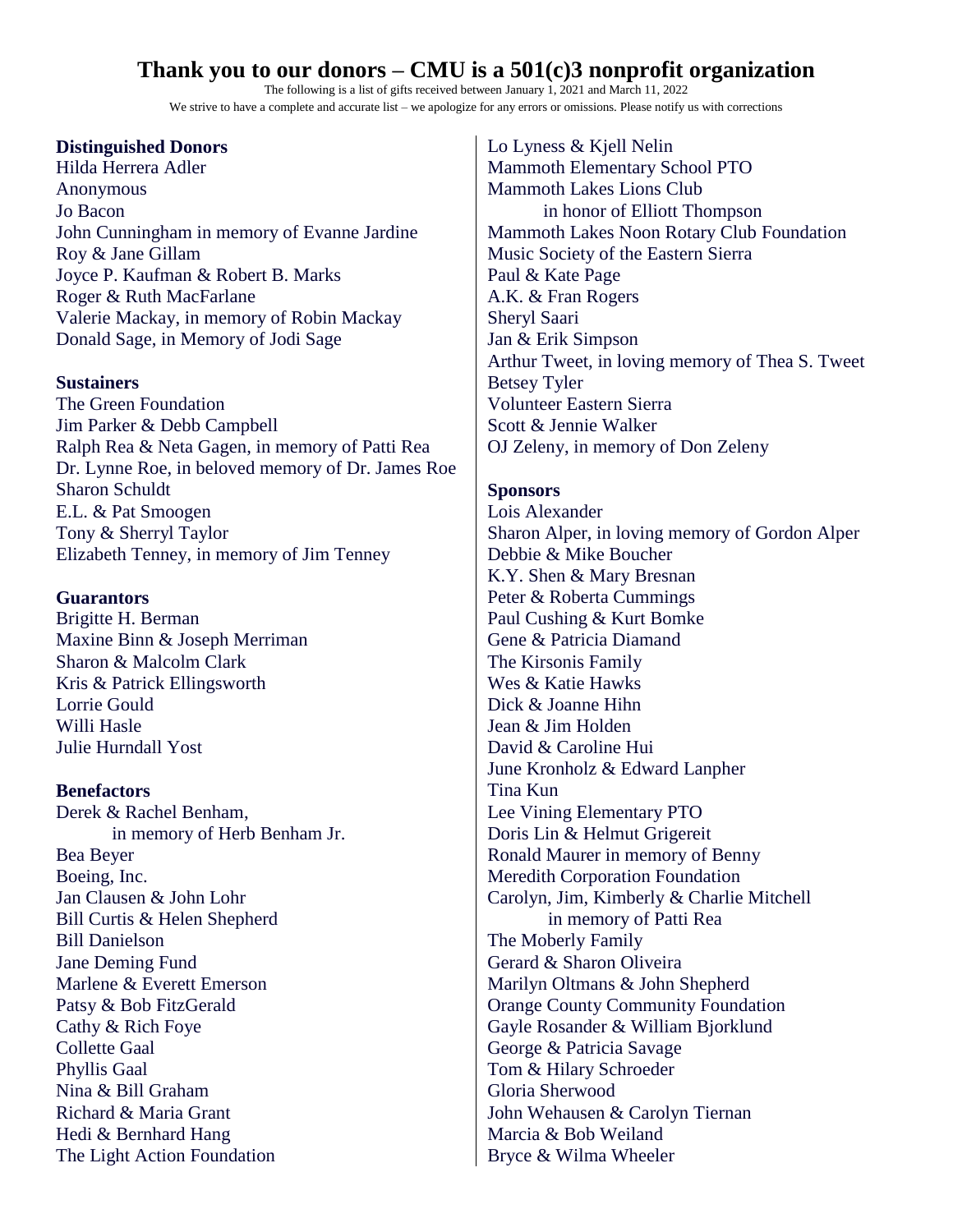## **Thank you to our donors – CMU is a 501(c)3 nonprofit organization**

The following is a list of gifts received between January 1, 2021 and March 11, 2022 We strive to have a complete and accurate list – we apologize for any errors or omissions. Please notify us with corrections

### **Distinguished Donors**

Hilda Herrera Adler Anonymous Jo Bacon John Cunningham in memory of Evanne Jardine Roy & Jane Gillam Joyce P. Kaufman & Robert B. Marks Roger & Ruth MacFarlane Valerie Mackay, in memory of Robin Mackay Donald Sage, in Memory of Jodi Sage

#### **Sustainers**

The Green Foundation Jim Parker & Debb Campbell Ralph Rea & Neta Gagen, in memory of Patti Rea Dr. Lynne Roe, in beloved memory of Dr. James Roe Sharon Schuldt E.L. & Pat Smoogen Tony & Sherryl Taylor Elizabeth Tenney, in memory of Jim Tenney

### **Guarantors**

Brigitte H. Berman Maxine Binn & Joseph Merriman Sharon & Malcolm Clark Kris & Patrick Ellingsworth Lorrie Gould Willi Hasle Julie Hurndall Yost

### **Benefactors**

Derek & Rachel Benham, in memory of Herb Benham Jr. Bea Beyer Boeing, Inc. Jan Clausen & John Lohr Bill Curtis & Helen Shepherd Bill Danielson Jane Deming Fund Marlene & Everett Emerson Patsy & Bob FitzGerald Cathy & Rich Foye Collette Gaal Phyllis Gaal Nina & Bill Graham Richard & Maria Grant Hedi & Bernhard Hang The Light Action Foundation

Lo Lyness & Kjell Nelin Mammoth Elementary School PTO Mammoth Lakes Lions Club in honor of Elliott Thompson Mammoth Lakes Noon Rotary Club Foundation Music Society of the Eastern Sierra Paul & Kate Page A.K. & Fran Rogers Sheryl Saari Jan & Erik Simpson Arthur Tweet, in loving memory of Thea S. Tweet Betsey Tyler Volunteer Eastern Sierra Scott & Jennie Walker OJ Zeleny, in memory of Don Zeleny

### **Sponsors**

Lois Alexander Sharon Alper, in loving memory of Gordon Alper Debbie & Mike Boucher K.Y. Shen & Mary Bresnan Peter & Roberta Cummings Paul Cushing & Kurt Bomke Gene & Patricia Diamand The Kirsonis Family Wes & Katie Hawks Dick & Joanne Hihn Jean & Jim Holden David & Caroline Hui June Kronholz & Edward Lanpher Tina Kun Lee Vining Elementary PTO Doris Lin & Helmut Grigereit Ronald Maurer in memory of Benny Meredith Corporation Foundation Carolyn, Jim, Kimberly & Charlie Mitchell in memory of Patti Rea The Moberly Family Gerard & Sharon Oliveira Marilyn Oltmans & John Shepherd Orange County Community Foundation Gayle Rosander & William Bjorklund George & Patricia Savage Tom & Hilary Schroeder Gloria Sherwood John Wehausen & Carolyn Tiernan Marcia & Bob Weiland Bryce & Wilma Wheeler